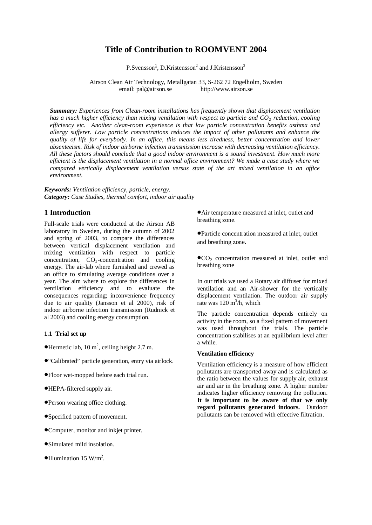# **Title of Contribution to ROOMVENT 2004**

P.Svensson<sup>1</sup>, D.Kristensson<sup>2</sup> and J.Kristensson<sup>2</sup>

Airson Clean Air Technology, Metallgatan 33, S-262 72 Engelholm, Sweden email: pal@airson.se http://www.airson.se

*Summary: Experiences from Clean-room installations has frequently shown that displacement ventilation has a much higher efficiency than mixing ventilation with respect to particle and CO2 reduction, cooling efficiency etc. Another clean-room experience is that low particle concentration benefits asthma and allergy sufferer. Low particle concentrations reduces the impact of other pollutants and enhance the quality of life for everybody. In an office, this means less tiredness, better concentration and lower absenteeism. Risk of indoor airborne infection transmission increase with decreasing ventilation efficiency. All these factors should conclude that a good indoor environment is a sound investment. How much more efficient is the displacement ventilation in a normal office environment? We made a case study where we compared vertically displacement ventilation versus state of the art mixed ventilation in an office environment.*

*Keywords: Ventilation efficiency, particle, energy. Category: Case Studies, thermal comfort, indoor air quality*

# **1 Introduction**

Full-scale trials were conducted at the Airson AB laboratory in Sweden, during the autumn of 2002 and spring of 2003, to compare the differences between vertical displacement ventilation and mixing ventilation with respect to particle concentration,  $CO_2$ -concentration and cooling energy. The air-lab where furnished and crewed as an office to simulating average conditions over a year. The aim where to explore the differences in ventilation efficiency and to evaluate the consequences regarding; inconvenience frequency due to air quality (Jansson et al 2000), risk of indoor airborne infection transmission (Rudnick et al 2003) and cooling energy consumption.

#### **1.1 Trial set up**

- $\bullet$  Hermetic lab, 10 m<sup>2</sup>, ceiling height 2.7 m.
- •"Calibrated" particle generation, entry via airlock.
- •Floor wet-mopped before each trial run.
- •HEPA-filtered supply air.
- •Person wearing office clothing.
- •Specified pattern of movement.
- •Computer, monitor and inkjet printer.
- •Simulated mild insolation.
- $\bullet$ Illumination 15 W/m<sup>2</sup>.

•Air temperature measured at inlet, outlet and breathing zone.

•Particle concentration measured at inlet, outlet and breathing zone.

 $\bullet$  CO<sub>2</sub> concentration measured at inlet, outlet and breathing zone

In our trials we used a Rotary air diffuser for mixed ventilation and an Air-shower for the vertically displacement ventilation. The outdoor air supply rate was  $120 \text{ m}^3/\text{h}$ , which

The particle concentration depends entirely on activity in the room, so a fixed pattern of movement was used throughout the trials. The particle concentration stabilises at an equilibrium level after a while.

## **Ventilation efficiency**

Ventilation efficiency is a measure of how efficient pollutants are transported away and is calculated as the ratio between the values for supply air, exhaust air and air in the breathing zone. A higher number indicates higher efficiency removing the pollution. **It is important to be aware of that we only regard pollutants generated indoors.** Outdoor pollutants can be removed with effective filtration.